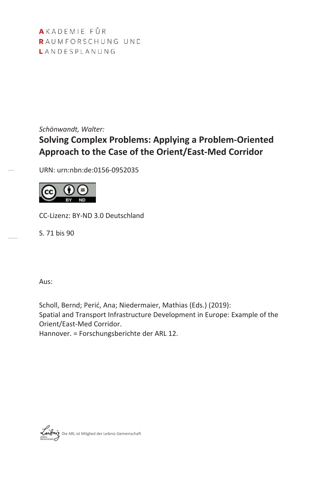AKADEMIE FÜR RAUMFORSCHUNG UND LANDESPLANUNG

*Schönwandt, Walter:*

# **Solving Complex Problems: Applying a Problem-Oriented Approach to the Case of the Orient/East-Med Corridor**

URN: urn:nbn:de:0156-0952035



CC-Lizenz: BY-ND 3.0 Deutschland

S. 71 bis 90

Aus:

Scholl, Bernd; Perić, Ana; Niedermaier, Mathias (Eds.) (2019): Spatial and Transport Infrastructure Development in Europe: Example of the Orient/East-Med Corridor.

Hannover. = Forschungsberichte der ARL 12.

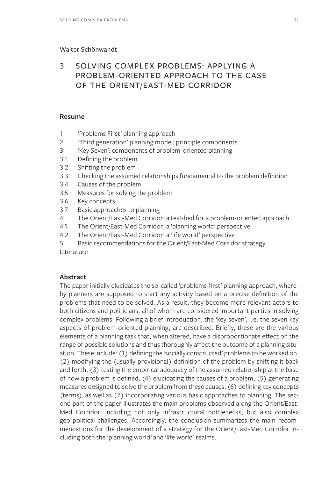#### Walter Schönwandt

# 3 SOLVING COMPLEX PROBLEMS: APPLYING A PROBLEM-ORIENTED APPROACH TO THE CASE OF THE ORIENT/EAST-MED CORRIDOR

#### **Resume**

- 1 'Problems First' planning approach
- 2 'Third generation' planning model: principle components
- 3 'Key Seven': components of problem-oriented planning
- 3.1 Defining the problem
- 3.2 Shifting the problem
- 3.3 Checking the assumed relationships fundamental to the problem definition
- 3.4 Causes of the problem
- 3.5 Measures for solving the problem
- 3.6 Key concepts
- 3.7 Basic approaches to planning
- 4 The Orient/East-Med Corridor: a test-bed for a problem-oriented approach
- 4.1 The Orient/East-Med Corridor: a 'planning world' perspective
- 4.2 The Orient/East-Med Corridor: a 'life world' perspective
- 5 Basic recommendations for the Orient/East-Med Corridor strategy Literature

# **Abstract**

The paper initially elucidates the so-called 'problems-first' planning approach, whereby planners are supposed to start any activity based on a precise definition of the problems that need to be solved. As a result, they become more relevant actors to both citizens and politicians, all of whom are considered important parties in solving complex problems. Following a brief introduction, the 'key seven', i.e. the seven key aspects of problem-oriented planning, are described. Briefly, these are the various elements of a planning task that, when altered, have a disproportionate effect on the range of possible solutions and thus thoroughly affect the outcome of a planning situation. These include: (1) defining the 'socially constructed' problems to be worked on, (2) modifying the (usually provisional) definition of the problem by shifting it back and forth, (3) testing the empirical adequacy of the assumed relationship at the base of how a problem is defined, (4) elucidating the causes of a problem, (5) generating measures designed to solve the problem from these causes, (6) defining key concepts (terms), as well as (7) incorporating various basic approaches to planning. The second part of the paper illustrates the main problems observed along the Orient/East-Med Corridor, including not only infrastructural bottlenecks, but also complex geo-political challenges. Accordingly, the conclusion summarizes the main recommendations for the development of a strategy for the Orient/East-Med Corridor including both the 'planning world' and 'life world' realms.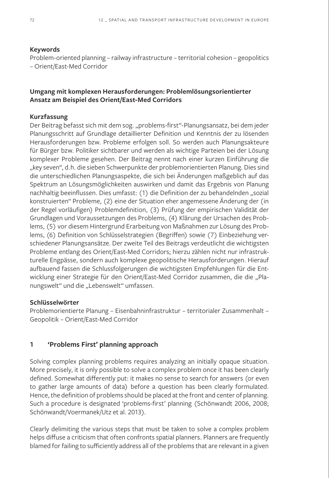#### **Keywords**

Problem-oriented planning – railway infrastructure – territorial cohesion – geopolitics – Orient/East-Med Corridor

## **Umgang mit komplexen Herausforderungen: Problemlösungsorientierter Ansatz am Beispiel des Orient/East-Med Corridors**

#### **Kurzfassung**

Der Beitrag befasst sich mit dem sog. "problems-first"-Planungsansatz, bei dem jeder Planungsschritt auf Grundlage detaillierter Definition und Kenntnis der zu lösenden Herausforderungen bzw. Probleme erfolgen soll. So werden auch Planungsakteure für Bürger bzw. Politiker sichtbarer und werden als wichtige Parteien bei der Lösung komplexer Probleme gesehen. Der Beitrag nennt nach einer kurzen Einführung die "key seven", d.h. die sieben Schwerpunkte der problemorientierten Planung. Dies sind die unterschiedlichen Planungsaspekte, die sich bei Änderungen maßgeblich auf das Spektrum an Lösungsmöglichkeiten auswirken und damit das Ergebnis von Planung nachhaltig beeinflussen. Dies umfasst: (1) die Definition der zu behandelnden "sozial konstruierten" Probleme, (2) eine der Situation eher angemessene Änderung der (in der Regel vorläufigen) Problemdefinition, (3) Prüfung der empirischen Validität der Grundlagen und Voraussetzungen des Problems, (4) Klärung der Ursachen des Problems, (5) vor diesem Hintergrund Erarbeitung von Maßnahmen zur Lösung des Problems, (6) Definition von Schlüsselstrategien (Begriffen) sowie (7) Einbeziehung verschiedener Planungsansätze. Der zweite Teil des Beitrags verdeutlicht die wichtigsten Probleme entlang des Orient/East-Med Corridors; hierzu zählen nicht nur infrastrukturelle Engpässe, sondern auch komplexe geopolitische Herausforderungen. Hierauf aufbauend fassen die Schlussfolgerungen die wichtigsten Empfehlungen für die Entwicklung einer Strategie für den Orient/East-Med Corridor zusammen, die die "Planungswelt" und die "Lebenswelt" umfassen.

#### **Schlüsselwörter**

Problemorientierte Planung – Eisenbahninfrastruktur – territorialer Zusammenhalt – Geopolitik – Orient/East-Med Corridor

### **1 'Problems First' planning approach**

Solving complex planning problems requires analyzing an initially opaque situation. More precisely, it is only possible to solve a complex problem once it has been clearly defined. Somewhat differently put: it makes no sense to search for answers (or even to gather large amounts of data) before a question has been clearly formulated. Hence, the definition of problems should be placed at the front and center of planning. Such a procedure is designated 'problems-first' planning (Schönwandt 2006, 2008; Schönwandt/Voermanek/Utz et al. 2013).

Clearly delimiting the various steps that must be taken to solve a complex problem helps diffuse a criticism that often confronts spatial planners. Planners are frequently blamed for failing to sufficiently address all of the problems that are relevant in a given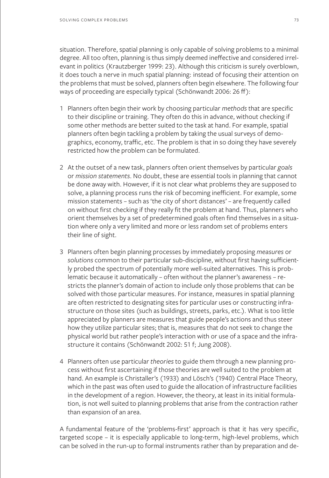situation. Therefore, spatial planning is only capable of solving problems to a minimal degree. All too often, planning is thus simply deemed ineffective and considered irrelevant in politics (Krautzberger 1999: 23). Although this criticism is surely overblown, it does touch a nerve in much spatial planning: instead of focusing their attention on the problems that must be solved, planners often begin elsewhere. The following four ways of proceeding are especially typical (Schönwandt 2006: 26 ff):

- 1 Planners often begin their work by choosing particular *methods* that are specific to their discipline or training. They often do this in advance, without checking if some other methods are better suited to the task at hand. For example, spatial planners often begin tackling a problem by taking the usual surveys of demographics, economy, traffic, etc. The problem is that in so doing they have severely restricted how the problem can be formulated.
- 2 At the outset of a new task, planners often orient themselves by particular *goals* or *mission statements*. No doubt, these are essential tools in planning that cannot be done away with. However, if it is not clear what problems they are supposed to solve, a planning process runs the risk of becoming inefficient. For example, some mission statements – such as 'the city of short distances' – are frequently called on without first checking if they really fit the problem at hand. Thus, planners who orient themselves by a set of predetermined goals often find themselves in a situation where only a very limited and more or less random set of problems enters their line of sight.
- 3 Planners often begin planning processes by immediately proposing *measures* or *solutions* common to their particular sub-discipline, without first having sufficiently probed the spectrum of potentially more well-suited alternatives. This is problematic because it automatically – often without the planner's awareness – restricts the planner's domain of action to include only those problems that can be solved with those particular measures. For instance, measures in spatial planning are often restricted to designating sites for particular uses or constructing infrastructure on those sites (such as buildings, streets, parks, etc.). What is too little appreciated by planners are measures that guide people's actions and thus steer how they utilize particular sites; that is, measures that do not seek to change the physical world but rather people's interaction with or use of a space and the infrastructure it contains (Schönwandt 2002: 51 f; Jung 2008).
- 4 Planners often use particular *theories* to guide them through a new planning process without first ascertaining if those theories are well suited to the problem at hand. An example is Christaller's (1933) and Lösch's (1940) Central Place Theory, which in the past was often used to guide the allocation of infrastructure facilities in the development of a region. However, the theory, at least in its initial formulation, is not well suited to planning problems that arise from the contraction rather than expansion of an area.

A fundamental feature of the 'problems-first' approach is that it has very specific, targeted scope – it is especially applicable to long-term, high-level problems, which can be solved in the run-up to formal instruments rather than by preparation and de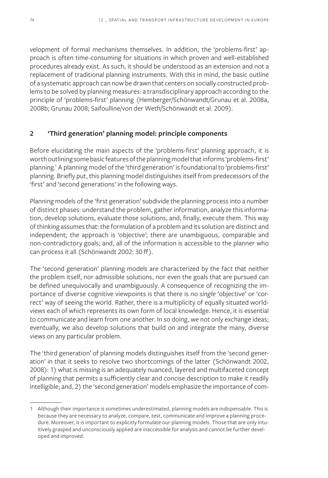velopment of formal mechanisms themselves. In addition, the 'problems-first' approach is often time-consuming for situations in which proven and well-established procedures already exist. As such, it should be understood as an extension and not a replacement of traditional planning instruments. With this in mind, the basic outline of a systematic approach can now be drawn that centers on socially constructed problems to be solved by planning measures: a transdisciplinary approach according to the principle of 'problems-first' planning (Hemberger/Schönwandt/Grunau et al. 2008a, 2008b; Grunau 2008; Saifoulline/von der Weth/Schönwandt et al. 2009).

# **2 'Third generation' planning model: principle components**

Before elucidating the main aspects of the 'problems-first' planning approach, it is worth outlining some basic features of the planning model that informs 'problems-first' planning.<sup>1</sup> A planning model of the 'third generation' is foundational to 'problems-first' planning. Briefly put, this planning model distinguishes itself from predecessors of the 'first' and 'second generations' in the following ways.

Planning models of the 'first generation' subdivide the planning process into a number of distinct phases: understand the problem, gather information, analyze this information, develop solutions, evaluate those solutions, and, finally, execute them. This way of thinking assumes that: the formulation of a problem and its solution are distinct and independent; the approach is 'objective'; there are unambiguous, comparable and non-contradictory goals; and, all of the information is accessible to the planner who can process it all (Schönwandt 2002: 30 ff).

The 'second generation' planning models are characterized by the fact that neither the problem itself, nor admissible solutions, nor even the goals that are pursued can be defined unequivocally and unambiguously. A consequence of recognizing the importance of diverse cognitive viewpoints is that there is *no single* 'objective' or 'correct' way of seeing the world. Rather, there is a multiplicity of equally situated worldviews each of which represents its own form of local knowledge. Hence, it is essential to communicate and learn from one another. In so doing, we not only exchange ideas; eventually, we also develop solutions that build on and integrate the many, diverse views on any particular problem.

The 'third generation' of planning models distinguishes itself from the 'second generation' in that it seeks to resolve two shortcomings of the latter (Schönwandt 2002, 2008): 1) what is missing is an adequately nuanced, layered and multifaceted concept of planning that permits a sufficiently clear and concise description to make it readily intelligible; and, 2) the 'second generation' models emphasize the importance of com-

<sup>1</sup> Although their importance is sometimes underestimated, planning models are indispensable. This is because they are necessary to analyze, compare, test, communicate and improve a planning procedure. Moreover, it is important to explicitly formulate our planning models. Those that are only intuitively grasped and unconsciously applied are inaccessible for analysis and cannot be further developed and improved.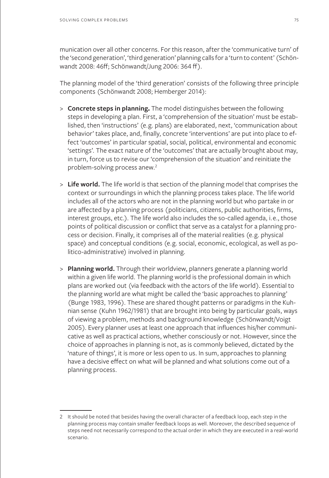munication over all other concerns. For this reason, after the 'communicative turn' of the 'second generation', 'third generation' planning calls for a 'turn to content' (Schönwandt 2008: 46ff; Schönwandt/Jung 2006: 364 ff).

The planning model of the 'third generation' consists of the following three principle components (Schönwandt 2008; Hemberger 2014):

- > **Concrete steps in planning.** The model distinguishes between the following steps in developing a plan. First, a 'comprehension of the situation' must be established, then 'instructions' (e.g. plans) are elaborated, next, 'communication about behavior' takes place, and, finally, concrete 'interventions' are put into place to effect 'outcomes' in particular spatial, social, political, environmental and economic 'settings'. The exact nature of the 'outcomes' that are actually brought about may, in turn, force us to revise our 'comprehension of the situation' and reinitiate the problem-solving process anew.<sup>2</sup>
- > **Life world.** The life world is that section of the planning model that comprises the context or surroundings in which the planning process takes place. The life world includes all of the actors who are not in the planning world but who partake in or are affected by a planning process (politicians, citizens, public authorities, firms, interest groups, etc.). The life world also includes the so-called agenda, i.e., those points of political discussion or conflict that serve as a catalyst for a planning process or decision. Finally, it comprises all of the material realities (e.g. physical space) and conceptual conditions (e.g. social, economic, ecological, as well as politico-administrative) involved in planning.
- > **Planning world.** Through their worldview, planners generate a planning world within a given life world. The planning world is the professional domain in which plans are worked out (via feedback with the actors of the life world). Essential to the planning world are what might be called the 'basic approaches to planning' (Bunge 1983, 1996). These are shared thought patterns or paradigms in the Kuhnian sense (Kuhn 1962/1981) that are brought into being by particular goals, ways of viewing a problem, methods and background knowledge (Schönwandt/Voigt 2005). Every planner uses at least one approach that influences his/her communicative as well as practical actions, whether consciously or not. However, since the choice of approaches in planning is not, as is commonly believed, dictated by the 'nature of things', it is more or less open to us. In sum, approaches to planning have a decisive effect on what will be planned and what solutions come out of a planning process.

<sup>2</sup> It should be noted that besides having the overall character of a feedback loop, each step in the planning process may contain smaller feedback loops as well. Moreover, the described sequence of steps need not necessarily correspond to the actual order in which they are executed in a real-world scenario.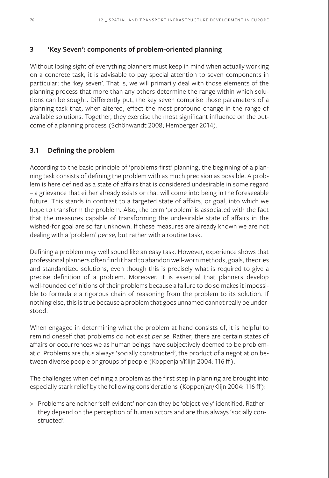# **3 'Key Seven': components of problem-oriented planning**

Without losing sight of everything planners must keep in mind when actually working on a concrete task*,* it is advisable to pay special attention to seven components in particular: the 'key seven'. That is, we will primarily deal with those elements of the planning process that more than any others determine the range within which solutions can be sought. Differently put, the key seven comprise those parameters of a planning task that, when altered, effect the most profound change in the range of available solutions. Together, they exercise the most significant influence on the outcome of a planning process (Schönwandt 2008; Hemberger 2014).

# **3.1 Defining the problem**

According to the basic principle of 'problems-first' planning, the beginning of a planning task consists of defining the problem with as much precision as possible. A problem is here defined as a state of affairs that is considered undesirable in some regard – a grievance that either already exists or that will come into being in the foreseeable future. This stands in contrast to a targeted state of affairs, or goal, into which we hope to transform the problem. Also, the term 'problem' is associated with the fact that the measures capable of transforming the undesirable state of affairs in the wished-for goal are so far unknown. If these measures are already known we are not dealing with a 'problem' *per se*, but rather with a routine task.

Defining a problem may well sound like an easy task. However, experience shows that professional planners often find it hard to abandon well-worn methods, goals, theories and standardized solutions, even though this is precisely what is required to give a precise definition of a problem. Moreover, it is essential that planners develop well-founded definitions of their problems because a failure to do so makes it impossible to formulate a rigorous chain of reasoning from the problem to its solution. If nothing else, this is true because a problem that goes unnamed cannot really be understood.

When engaged in determining what the problem at hand consists of, it is helpful to remind oneself that problems do not exist *per se*. Rather, there are certain states of affairs or occurrences we as human beings have subjectively deemed to be problematic. Problems are thus always 'socially constructed', the product of a negotiation between diverse people or groups of people (Koppenjan/Klijn 2004: 116 ff).

The challenges when defining a problem as the first step in planning are brought into especially stark relief by the following considerations (Koppenjan/Klijn 2004: 116 ff):

> Problems are neither 'self-evident' nor can they be 'objectively' identified. Rather they depend on the perception of human actors and are thus always 'socially constructed'.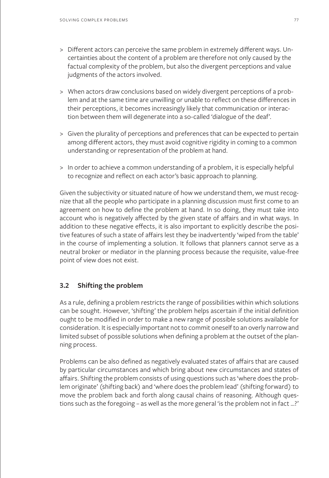- > Different actors can perceive the same problem in extremely different ways. Uncertainties about the content of a problem are therefore not only caused by the factual complexity of the problem, but also the divergent perceptions and value judgments of the actors involved.
- > When actors draw conclusions based on widely divergent perceptions of a problem and at the same time are unwilling or unable to reflect on these differences in their perceptions, it becomes increasingly likely that communication or interaction between them will degenerate into a so-called 'dialogue of the deaf'.
- > Given the plurality of perceptions and preferences that can be expected to pertain among different actors, they must avoid cognitive rigidity in coming to a common understanding or representation of the problem at hand.
- > In order to achieve a common understanding of a problem, it is especially helpful to recognize and reflect on each actor's basic approach to planning.

Given the subjectivity or situated nature of how we understand them, we must recognize that all the people who participate in a planning discussion must first come to an agreement on how to define the problem at hand. In so doing, they must take into account who is negatively affected by the given state of affairs and in what ways. In addition to these negative effects, it is also important to explicitly describe the positive features of such a state of affairs lest they be inadvertently 'wiped from the table' in the course of implementing a solution. It follows that planners cannot serve as a neutral broker or mediator in the planning process because the requisite, value-free point of view does not exist.

# **3.2 Shifting the problem**

As a rule, defining a problem restricts the range of possibilities within which solutions can be sought. However, 'shifting' the problem helps ascertain if the initial definition ought to be modified in order to make a new range of possible solutions available for consideration. It is especially important not to commit oneself to an overly narrow and limited subset of possible solutions when defining a problem at the outset of the planning process.

Problems can be also defined as negatively evaluated states of affairs that are caused by particular circumstances and which bring about new circumstances and states of affairs. Shifting the problem consists of using questions such as 'where does the problem originate' (shifting back) and 'where does the problem lead' (shifting forward) to move the problem back and forth along causal chains of reasoning. Although questions such as the foregoing – as well as the more general 'is the problem not in fact …?'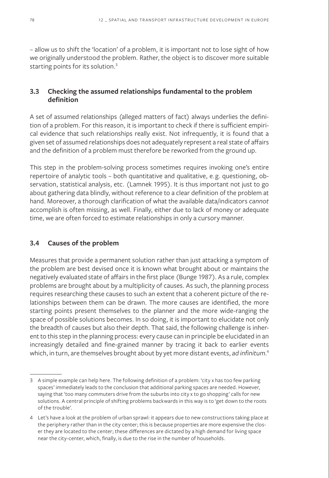– allow us to shift the 'location' of a problem, it is important not to lose sight of how we originally understood the problem. Rather, the object is to discover more suitable starting points for its solution.<sup>3</sup>

# **3.3 Checking the assumed relationships fundamental to the problem definition**

A set of assumed relationships (alleged matters of fact) always underlies the definition of a problem. For this reason, it is important to check if there is sufficient empirical evidence that such relationships really exist. Not infrequently, it is found that a given set of assumed relationships does not adequately represent a real state of affairs and the definition of a problem must therefore be reworked from the ground up.

This step in the problem-solving process sometimes requires invoking one's entire repertoire of analytic tools – both quantitative and qualitative, e.g. questioning, observation, statistical analysis, etc. (Lamnek 1995). It is thus important not just to go about gathering data blindly, without reference to a clear definition of the problem at hand. Moreover, a thorough clarification of what the available data/indicators *cannot* accomplish is often missing, as well. Finally, either due to lack of money or adequate time, we are often forced to estimate relationships in only a cursory manner.

# **3.4 Causes of the problem**

Measures that provide a permanent solution rather than just attacking a symptom of the problem are best devised once it is known what brought about or maintains the negatively evaluated state of affairs in the first place (Bunge 1987). As a rule, complex problems are brought about by a multiplicity of causes. As such, the planning process requires researching these causes to such an extent that a coherent picture of the relationships between them can be drawn. The more causes are identified, the more starting points present themselves to the planner and the more wide-ranging the space of possible solutions becomes. In so doing, it is important to elucidate not only the breadth of causes but also their depth. That said, the following challenge is inherent to this step in the planning process: every cause can in principle be elucidated in an increasingly detailed and fine-grained manner by tracing it back to earlier events which, in turn, are themselves brought about by yet more distant events, *ad infinitum*. 4

<sup>3</sup> A simple example can help here. The following definition of a problem: 'city x has too few parking spaces' immediately leads to the conclusion that additional parking spaces are needed. However, saying that 'too many commuters drive from the suburbs into city x to go shopping' calls for new solutions. A central principle of shifting problems backwards in this way is to 'get down to the roots of the trouble'.

<sup>4</sup> Let's have a look at the problem of urban sprawl: it appears due to new constructions taking place at the periphery rather than in the city center; this is because properties are more expensive the closer they are located to the center; these differences are dictated by a high demand for living space near the city-center, which, finally, is due to the rise in the number of households.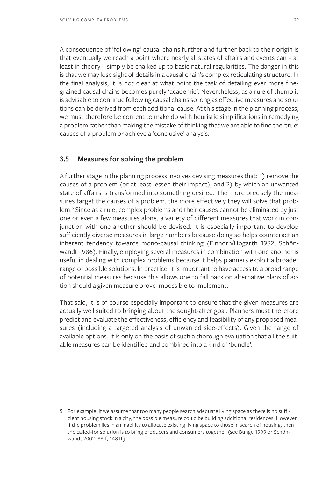A consequence of 'following' causal chains further and further back to their origin is that eventually we reach a point where nearly all states of affairs and events can – at least in theory – simply be chalked up to basic natural regularities. The danger in this is that we may lose sight of details in a causal chain's complex reticulating structure. In the final analysis, it is not clear at what point the task of detailing ever more finegrained causal chains becomes purely 'academic'. Nevertheless, as a rule of thumb it is advisable to continue following causal chains so long as effective measures and solutions can be derived from each additional cause. At this stage in the planning process, we must therefore be content to make do with heuristic simplifications in remedying a problem rather than making the mistake of thinking that we are able to find the 'true' causes of a problem or achieve a 'conclusive' analysis.

### **3.5 Measures for solving the problem**

A further stage in the planning process involves devising measures that: 1) remove the causes of a problem (or at least lessen their impact), and 2) by which an unwanted state of affairs is transformed into something desired. The more precisely the measures target the causes of a problem, the more effectively they will solve that problem.<sup>5</sup> Since as a rule, complex problems and their causes cannot be eliminated by just one or even a few measures alone, a variety of different measures that work in conjunction with one another should be devised. It is especially important to develop sufficiently diverse measures in large numbers because doing so helps counteract an inherent tendency towards mono-causal thinking (Einhorn/Hogarth 1982; Schönwandt 1986). Finally, employing several measures in combination with one another is useful in dealing with complex problems because it helps planners exploit a broader range of possible solutions. In practice, it is important to have access to a broad range of potential measures because this allows one to fall back on alternative plans of action should a given measure prove impossible to implement.

That said, it is of course especially important to ensure that the given measures are actually well suited to bringing about the sought-after goal. Planners must therefore predict and evaluate the effectiveness, efficiency and feasibility of any proposed measures (including a targeted analysis of unwanted side-effects). Given the range of available options, it is only on the basis of such a thorough evaluation that all the suitable measures can be identified and combined into a kind of 'bundle'.

<sup>5</sup> For example, if we assume that too many people search adequate living space as there is no sufficient housing stock in a city, the possible measure could be building additional residences. However, if the problem lies in an inability to allocate existing living space to those in search of housing, then the called-for solution is to bring producers and consumers together (see Bunge 1999 or Schönwandt 2002: 86ff, 148 ff).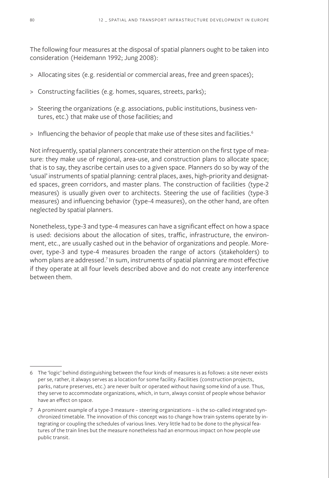The following four measures at the disposal of spatial planners ought to be taken into consideration (Heidemann 1992; Jung 2008):

- > Allocating sites (e.g. residential or commercial areas, free and green spaces);
- > Constructing facilities (e.g. homes, squares, streets, parks);
- > Steering the organizations (e.g. associations, public institutions, business ventures, etc.) that make use of those facilities; and
- > Influencing the behavior of people that make use of these sites and facilities.<sup>6</sup>

Not infrequently, spatial planners concentrate their attention on the first type of measure: they make use of regional, area-use, and construction plans to allocate space; that is to say, they ascribe certain uses to a given space. Planners do so by way of the 'usual' instruments of spatial planning: central places, axes, high-priority and designated spaces, green corridors, and master plans. The construction of facilities (type-2 measures) is usually given over to architects. Steering the use of facilities (type-3 measures) and influencing behavior (type-4 measures), on the other hand, are often neglected by spatial planners.

Nonetheless, type-3 and type-4 measures can have a significant effect on how a space is used: decisions about the allocation of sites, traffic, infrastructure, the environment, etc., are usually cashed out in the behavior of organizations and people. Moreover, type-3 and type-4 measures broaden the range of actors (stakeholders) to whom plans are addressed. $^7$  In sum, instruments of spatial planning are most effective if they operate at all four levels described above and do not create any interference between them.

<sup>6</sup> The 'logic' behind distinguishing between the four kinds of measures is as follows: a site never exists per se, rather, it always serves as a location for some facility. Facilities (construction projects, parks, nature preserves, etc.) are never built or operated without having some kind of a use. Thus, they serve to accommodate organizations, which, in turn, always consist of people whose behavior have an effect on space.

<sup>7</sup> A prominent example of a type-3 measure – steering organizations – is the so-called integrated synchronized timetable. The innovation of this concept was to change how train systems operate by integrating or coupling the schedules of various lines. Very little had to be done to the physical features of the train lines but the measure nonetheless had an enormous impact on how people use public transit.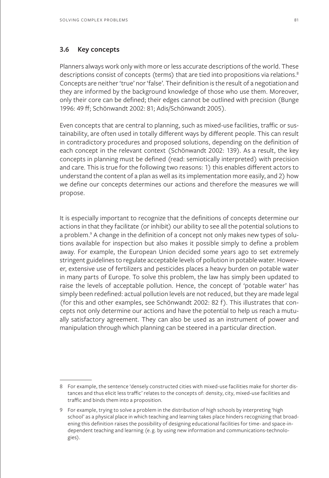### **3.6 Key concepts**

Planners always work only with more or less accurate descriptions of the world. These descriptions consist of concepts (terms) that are tied into propositions via relations.<sup>8</sup> Concepts are neither 'true' nor 'false'. Their definition is the result of a negotiation and they are informed by the background knowledge of those who use them. Moreover, only their core can be defined; their edges cannot be outlined with precision (Bunge 1996: 49 ff; Schönwandt 2002: 81; Adis/Schönwandt 2005).

Even concepts that are central to planning, such as mixed-use facilities, traffic or sustainability, are often used in totally different ways by different people. This can result in contradictory procedures and proposed solutions, depending on the definition of each concept in the relevant context (Schönwandt 2002: 139). As a result, the key concepts in planning must be defined (read: semiotically interpreted) with precision and care. This is true for the following two reasons: 1) this enables different actors to understand the content of a plan as well as its implementation more easily, and 2) how we define our concepts determines our actions and therefore the measures we will propose.

It is especially important to recognize that the definitions of concepts determine our actions in that they facilitate (or inhibit) our ability to see all the potential solutions to a problem.9 A change in the definition of a concept not only makes new types of solutions available for inspection but also makes it possible simply to define a problem away. For example, the European Union decided some years ago to set extremely stringent guidelines to regulate acceptable levels of pollution in potable water. However, extensive use of fertilizers and pesticides places a heavy burden on potable water in many parts of Europe. To solve this problem, the law has simply been updated to raise the levels of acceptable pollution. Hence, the concept of 'potable water' has simply been redefined: actual pollution levels are not reduced, but they are made legal (for this and other examples, see Schönwandt 2002: 82 f). This illustrates that concepts not only determine our actions and have the potential to help us reach a mutually satisfactory agreement. They can also be used as an instrument of power and manipulation through which planning can be steered in a particular direction.

<sup>8</sup> For example, the sentence 'densely constructed cities with mixed-use facilities make for shorter distances and thus elicit less traffic' relates to the concepts of: density, city, mixed-use facilities and traffic and binds them into a proposition.

<sup>9</sup> For example, trying to solve a problem in the distribution of high schools by interpreting 'high school' as a physical place in which teaching and learning takes place hinders recognizing that broadening this definition raises the possibility of designing educational facilities for time- and space-independent teaching and learning (e. g. by using new information and communications-technologies).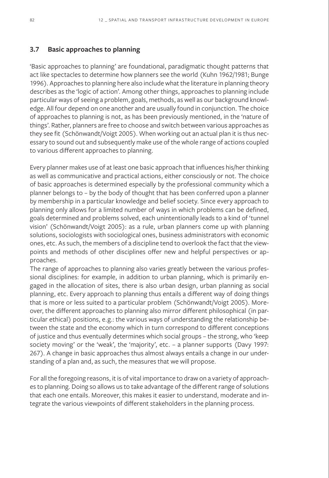#### **3.7 Basic approaches to planning**

'Basic approaches to planning' are foundational, paradigmatic thought patterns that act like spectacles to determine how planners see the world (Kuhn 1962/1981; Bunge 1996). Approaches to planning here also include what the literature in planning theory describes as the 'logic of action'. Among other things, approaches to planning include particular ways of seeing a problem, goals, methods, as well as our background knowledge. All four depend on one another and are usually found in conjunction. The choice of approaches to planning is not, as has been previously mentioned, in the 'nature of things'. Rather, planners are free to choose and switch between various approaches as they see fit (Schönwandt/Voigt 2005). When working out an actual plan it is thus necessary to sound out and subsequently make use of the whole range of actions coupled to various different approaches to planning.

Every planner makes use of at least one basic approach that influences his/her thinking as well as communicative and practical actions, either consciously or not. The choice of basic approaches is determined especially by the professional community which a planner belongs to – by the body of thought that has been conferred upon a planner by membership in a particular knowledge and belief society. Since every approach to planning only allows for a limited number of ways in which problems can be defined, goals determined and problems solved, each unintentionally leads to a kind of 'tunnel vision' (Schönwandt/Voigt 2005): as a rule, urban planners come up with planning solutions, sociologists with sociological ones, business administrators with economic ones, etc. As such, the members of a discipline tend to overlook the fact that the viewpoints and methods of other disciplines offer new and helpful perspectives or approaches.

The range of approaches to planning also varies greatly between the various professional disciplines: for example, in addition to urban planning, which is primarily engaged in the allocation of sites, there is also urban design, urban planning as social planning, etc. Every approach to planning thus entails a different way of doing things that is more or less suited to a particular problem (Schönwandt/Voigt 2005). Moreover, the different approaches to planning also mirror different philosophical (in particular ethical) positions, e.g.: the various ways of understanding the relationship between the state and the economy which in turn correspond to different conceptions of justice and thus eventually determines which social groups – the strong, who 'keep society moving' or the 'weak', the 'majority', etc. – a planner supports (Davy 1997: 267). A change in basic approaches thus almost always entails a change in our understanding of a plan and, as such, the measures that we will propose.

For all the foregoing reasons, it is of vital importance to draw on a variety of approaches to planning. Doing so allows us to take advantage of the different range of solutions that each one entails. Moreover, this makes it easier to understand, moderate and integrate the various viewpoints of different stakeholders in the planning process.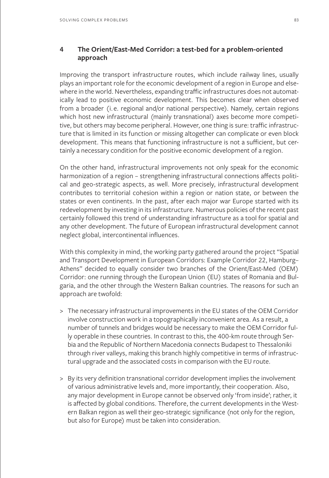# **4 The Orient/East-Med Corridor: a test-bed for a problem-oriented approach**

Improving the transport infrastructure routes, which include railway lines, usually plays an important role for the economic development of a region in Europe and elsewhere in the world. Nevertheless, expanding traffic infrastructures does not automatically lead to positive economic development. This becomes clear when observed from a broader (i. e. regional and/or national perspective). Namely, certain regions which host new infrastructural (mainly transnational) axes become more competitive, but others may become peripheral. However, one thing is sure: traffic infrastructure that is limited in its function or missing altogether can complicate or even block development. This means that functioning infrastructure is not a sufficient, but certainly a necessary condition for the positive economic development of a region.

On the other hand, infrastructural improvements not only speak for the economic harmonization of a region – strengthening infrastructural connections affects political and geo-strategic aspects, as well. More precisely, infrastructural development contributes to territorial cohesion within a region or nation state, or between the states or even continents. In the past, after each major war Europe started with its redevelopment by investing in its infrastructure. Numerous policies of the recent past certainly followed this trend of understanding infrastructure as a tool for spatial and any other development. The future of European infrastructural development cannot neglect global, intercontinental influences.

With this complexity in mind, the working party gathered around the project "Spatial and Transport Development in European Corridors: Example Corridor 22, Hamburg– Athens" decided to equally consider two branches of the Orient/East-Med (OEM) Corridor: one running through the European Union (EU) states of Romania and Bulgaria, and the other through the Western Balkan countries. The reasons for such an approach are twofold:

- > The necessary infrastructural improvements in the EU states of the OEM Corridor involve construction work in a topographically inconvenient area. As a result, a number of tunnels and bridges would be necessary to make the OEM Corridor fully operable in these countries. In contrast to this, the 400-km route through Serbia and the Republic of Northern Macedonia connects Budapest to Thessaloniki through river valleys, making this branch highly competitive in terms of infrastructural upgrade and the associated costs in comparison with the EU route.
- > By its very definition transnational corridor development implies the involvement of various administrative levels and, more importantly, their cooperation. Also, any major development in Europe cannot be observed only 'from inside'; rather, it is affected by global conditions. Therefore, the current developments in the Western Balkan region as well their geo-strategic significance (not only for the region, but also for Europe) must be taken into consideration.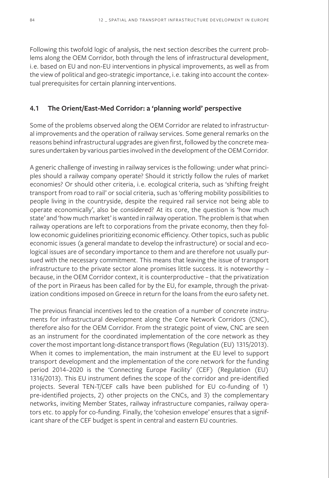Following this twofold logic of analysis, the next section describes the current problems along the OEM Corridor, both through the lens of infrastructural development, i.e. based on EU and non-EU interventions in physical improvements, as well as from the view of political and geo-strategic importance, i.e. taking into account the contextual prerequisites for certain planning interventions.

### **4.1 The Orient/East-Med Corridor: a 'planning world' perspective**

Some of the problems observed along the OEM Corridor are related to infrastructural improvements and the operation of railway services. Some general remarks on the reasons behind infrastructural upgrades are given first, followed by the concrete measures undertaken by various parties involved in the development of the OEM Corridor.

A generic challenge of investing in railway services is the following: under what principles should a railway company operate? Should it strictly follow the rules of market economies? Or should other criteria, i.e. ecological criteria, such as 'shifting freight transport from road to rail' or social criteria, such as 'offering mobility possibilities to people living in the countryside, despite the required rail service not being able to operate economically', also be considered? At its core, the question is 'how much state' and 'how much market' is wanted in railway operation. The problem is that when railway operations are left to corporations from the private economy, then they follow economic guidelines prioritizing economic efficiency. Other topics, such as public economic issues (a general mandate to develop the infrastructure) or social and ecological issues are of secondary importance to them and are therefore not usually pursued with the necessary commitment. This means that leaving the issue of transport infrastructure to the private sector alone promises little success. It is noteworthy – because, in the OEM Corridor context, it is counterproductive – that the privatization of the port in Piraeus has been called for by the EU, for example, through the privatization conditions imposed on Greece in return for the loans from the euro safety net.

The previous financial incentives led to the creation of a number of concrete instruments for infrastructural development along the Core Network Corridors (CNC), therefore also for the OEM Corridor. From the strategic point of view, CNC are seen as an instrument for the coordinated implementation of the core network as they cover the most important long-distance transport flows (Regulation (EU) 1315/2013). When it comes to implementation, the main instrument at the EU level to support transport development and the implementation of the core network for the funding period 2014–2020 is the 'Connecting Europe Facility' (CEF) (Regulation (EU) 1316/2013). This EU instrument defines the scope of the corridor and pre-identified projects. Several TEN-T/CEF calls have been published for EU co-funding of 1) pre-identified projects, 2) other projects on the CNCs, and 3) the complementary networks, inviting Member States, railway infrastructure companies, railway operators etc. to apply for co-funding. Finally, the 'cohesion envelope' ensures that a significant share of the CEF budget is spent in central and eastern EU countries.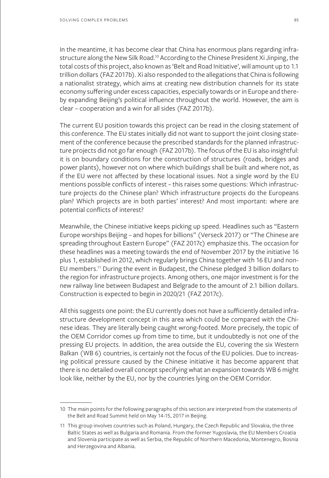In the meantime, it has become clear that China has enormous plans regarding infrastructure along the New Silk Road.<sup>10</sup> According to the Chinese President Xi Jinping, the total costs of this project, also known as 'Belt and Road Initiative', will amount up to 1.1 trillion dollars (FAZ 2017b). Xi also responded to the allegations that China is following a nationalist strategy, which aims at creating new distribution channels for its state economy suffering under excess capacities, especially towards or in Europe and thereby expanding Beijing's political influence throughout the world. However, the aim is clear – cooperation and a win for all sides (FAZ 2017b).

The current EU position towards this project can be read in the closing statement of this conference. The EU states initially did not want to support the joint closing statement of the conference because the prescribed standards for the planned infrastructure projects did not go far enough (FAZ 2017b). The focus of the EU is also insightful: it is on boundary conditions for the construction of structures (roads, bridges and power plants), however not on where which buildings shall be built and where not, as if the EU were not affected by these locational issues. Not a single word by the EU mentions possible conflicts of interest – this raises some questions: Which infrastructure projects do the Chinese plan? Which infrastructure projects do the Europeans plan? Which projects are in both parties' interest? And most important: where are potential conflicts of interest?

Meanwhile, the Chinese initiative keeps picking up speed. Headlines such as "Eastern Europe worships Beijing – and hopes for billions" (Verseck 2017) or "The Chinese are spreading throughout Eastern Europe" (FAZ 2017c) emphasize this. The occasion for these headlines was a meeting towards the end of November 2017 by the initiative 16 plus 1, established in 2012, which regularly brings China together with 16 EU and non-EU members.11 During the event in Budapest, the Chinese pledged 3 billion dollars to the region for infrastructure projects. Among others, one major investment is for the new railway line between Budapest and Belgrade to the amount of 2.1 billion dollars. Construction is expected to begin in 2020/21 (FAZ 2017c).

All this suggests one point: the EU currently does not have a sufficiently detailed infrastructure development concept in this area which could be compared with the Chinese ideas. They are literally being caught wrong-footed. More precisely, the topic of the OEM Corridor comes up from time to time, but it undoubtedly is not one of the pressing EU projects. In addition, the area outside the EU, covering the six Western Balkan (WB 6) countries, is certainly not the focus of the EU policies. Due to increasing political pressure caused by the Chinese initiative it has become apparent that there is no detailed overall concept specifying what an expansion towards WB 6 might look like, neither by the EU, nor by the countries lying on the OEM Corridor.

<sup>10</sup> The main points for the following paragraphs of this section are interpreted from the statements of the Belt and Road Summit held on May 14-15, 2017 in Beijing.

<sup>11</sup> This group involves countries such as Poland, Hungary, the Czech Republic and Slovakia, the three Baltic States as well as Bulgaria and Romania. From the former Yugoslavia, the EU Members Croatia and Slovenia participate as well as Serbia, the Republic of Northern Macedonia, Montenegro, Bosnia and Herzegovina and Albania.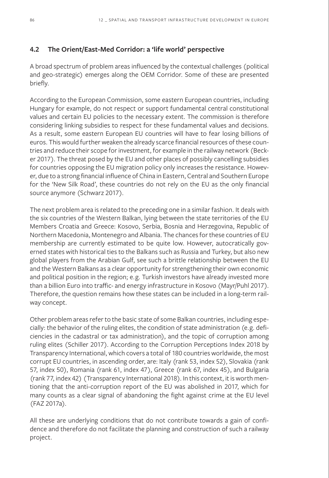# **4.2 The Orient/East-Med Corridor: a 'life world' perspective**

A broad spectrum of problem areas influenced by the contextual challenges (political and geo-strategic) emerges along the OEM Corridor. Some of these are presented briefly.

According to the European Commission, some eastern European countries, including Hungary for example, do not respect or support fundamental central constitutional values and certain EU policies to the necessary extent. The commission is therefore considering linking subsidies to respect for these fundamental values and decisions. As a result, some eastern European EU countries will have to fear losing billions of euros. This would further weaken the already scarce financial resources of these countries and reduce their scope for investment, for example in the railway network (Becker 2017). The threat posed by the EU and other places of possibly cancelling subsidies for countries opposing the EU migration policy only increases the resistance. However, due to a strong financial influence of China in Eastern, Central and Southern Europe for the 'New Silk Road', these countries do not rely on the EU as the only financial source anymore (Schwarz 2017).

The next problem area is related to the preceding one in a similar fashion. It deals with the six countries of the Western Balkan, lying between the state territories of the EU Members Croatia and Greece: Kosovo, Serbia, Bosnia and Herzegovina, Republic of Northern Macedonia, Montenegro and Albania. The chances for these countries of EU membership are currently estimated to be quite low. However, autocratically governed states with historical ties to the Balkans such as Russia and Turkey, but also new global players from the Arabian Gulf, see such a brittle relationship between the EU and the Western Balkans as a clear opportunity for strengthening their own economic and political position in the region; e.g. Turkish investors have already invested more than a billion Euro into traffic- and energy infrastructure in Kosovo (Mayr/Puhl 2017). Therefore, the question remains how these states can be included in a long-term railway concept.

Other problem areas refer to the basic state of some Balkan countries, including especially: the behavior of the ruling elites, the condition of state administration (e.g. deficiencies in the cadastral or tax administration), and the topic of corruption among ruling elites (Schiller 2017). According to the Corruption Perceptions Index 2018 by Transparency International, which covers a total of 180 countries worldwide, the most corrupt EU countries, in ascending order, are: Italy (rank 53, index 52), Slovakia (rank 57, index 50), Romania (rank 61, index 47), Greece (rank 67, index 45), and Bulgaria (rank 77, index 42) (Transparency International 2018). In this context, it is worth mentioning that the anti-corruption report of the EU was abolished in 2017, which for many counts as a clear signal of abandoning the fight against crime at the EU level (FAZ 2017a).

All these are underlying conditions that do not contribute towards a gain of confidence and therefore do not facilitate the planning and construction of such a railway project.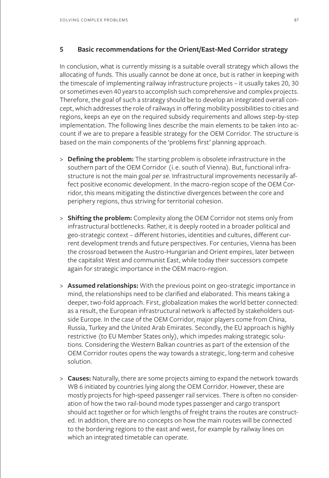### **5 Basic recommendations for the Orient/East-Med Corridor strategy**

In conclusion, what is currently missing is a suitable overall strategy which allows the allocating of funds. This usually cannot be done at once, but is rather in keeping with the timescale of implementing railway infrastructure projects – it usually takes 20, 30 or sometimes even 40 years to accomplish such comprehensive and complex projects. Therefore, the goal of such a strategy should be to develop an integrated overall concept, which addresses the role of railways in offering mobility possibilities to cities and regions, keeps an eye on the required subsidy requirements and allows step-by-step implementation. The following lines describe the main elements to be taken into account if we are to prepare a feasible strategy for the OEM Corridor. The structure is based on the main components of the 'problems first' planning approach.

- > **Defining the problem:** The starting problem is obsolete infrastructure in the southern part of the OEM Corridor (i.e. south of Vienna). But, functional infrastructure is not the main goal *per se*. Infrastructural improvements necessarily affect positive economic development. In the macro-region scope of the OEM Corridor, this means mitigating the distinctive divergences between the core and periphery regions, thus striving for territorial cohesion.
- > **Shifting the problem:** Complexity along the OEM Corridor not stems only from infrastructural bottlenecks. Rather, it is deeply rooted in a broader political and geo-strategic context – different histories, identities and cultures, different current development trends and future perspectives. For centuries, Vienna has been the crossroad between the Austro-Hungarian and Orient empires, later between the capitalist West and communist East, while today their successors compete again for strategic importance in the OEM macro-region.
- > **Assumed relationships:** With the previous point on geo-strategic importance in mind, the relationships need to be clarified and elaborated. This means taking a deeper, two-fold approach. First, globalization makes the world better connected: as a result, the European infrastructural network is affected by stakeholders outside Europe. In the case of the OEM Corridor, major players come from China, Russia, Turkey and the United Arab Emirates. Secondly, the EU approach is highly restrictive (to EU Member States only), which impedes making strategic solutions. Considering the Western Balkan countries as part of the extension of the OEM Corridor routes opens the way towards a strategic, long-term and cohesive solution.
- > **Causes:** Naturally, there are some projects aiming to expand the network towards WB 6 initiated by countries lying along the OEM Corridor. However, these are mostly projects for high-speed passenger rail services. There is often no consideration of how the two rail-bound mode types passenger and cargo transport should act together or for which lengths of freight trains the routes are constructed. In addition, there are no concepts on how the main routes will be connected to the bordering regions to the east and west, for example by railway lines on which an integrated timetable can operate.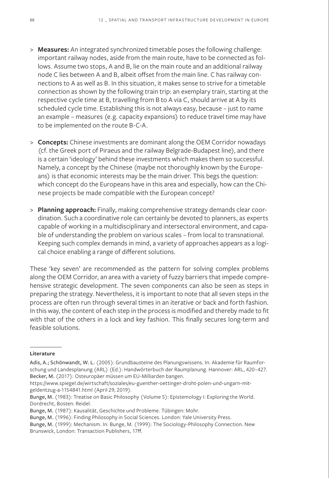- > **Measures:** An integrated synchronized timetable poses the following challenge: important railway nodes, aside from the main route, have to be connected as follows. Assume two stops, A and B, lie on the main route and an additional railway node C lies between A and B, albeit offset from the main line. C has railway connections to A as well as B. In this situation, it makes sense to strive for a timetable connection as shown by the following train trip: an exemplary train, starting at the respective cycle time at B, travelling from B to A via C, should arrive at A by its scheduled cycle time. Establishing this is not always easy, because – just to name an example – measures (e.g. capacity expansions) to reduce travel time may have to be implemented on the route B-C-A.
- > **Concepts:** Chinese investments are dominant along the OEM Corridor nowadays (cf. the Greek port of Piraeus and the railway Belgrade-Budapest line), and there is a certain 'ideology' behind these investments which makes them so successful. Namely, a concept by the Chinese (maybe not thoroughly known by the Europeans) is that economic interests may be the main driver. This begs the question: which concept do the Europeans have in this area and especially, how can the Chinese projects be made compatible with the European concept?
- > **Planning approach:** Finally, making comprehensive strategy demands clear coordination. Such a coordinative role can certainly be devoted to planners, as experts capable of working in a multidisciplinary and intersectoral environment, and capable of understanding the problem on various scales – from local to transnational. Keeping such complex demands in mind, a variety of approaches appears as a logical choice enabling a range of different solutions.

These 'key seven' are recommended as the pattern for solving complex problems along the OEM Corridor, an area with a variety of fuzzy barriers that impede comprehensive strategic development. The seven components can also be seen as steps in preparing the strategy. Nevertheless, it is important to note that all seven steps in the process are often run through several times in an iterative or back and forth fashion. In this way, the content of each step in the process is modified and thereby made to fit with that of the others in a lock and key fashion. This finally secures long-term and feasible solutions.

#### **Literature**

Adis, A.; Schönwandt, W. L. (2005): Grundbausteine des Planungswissens. In: Akademie für Raumforschung und Landesplanung (ARL) (Ed.): Handwörterbuch der Raumplanung. Hannover: ARL, 420–427. Becker, M. (2017): Osteuropäer müssen um EU-Milliarden bangen.

https://www.spiegel.de/wirtschaft/soziales/eu-guenther-oettinger-droht-polen-und-ungarn-mitgeldentzug-a-1154841.html (April 29, 2019).

Bunge, M. (1983): Treatise on Basic Philosophy (Volume 5): Epistemology I: Exploring the World. Dordrecht, Bosten: Reidel.

Bunge, M. (1987): Kausalität, Geschichte und Probleme. Tübingen: Mohr.

Bunge, M. (1996): Finding Philosophy in Social Sciences. London: Yale University Press.

Bunge, M. (1999): Mechanism. In: Bunge, M. (1999): The Sociology-Philosophy Connection. New Brunswick, London: Transaction Publishers, 17ff.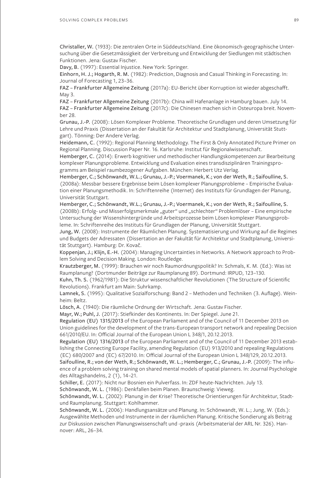Christaller, W. (1933): Die zentralen Orte in Süddeutschland. Eine ökonomisch-geographische Untersuchung über die Gesetzmässigkeit der Verbreitung und Entwicklung der Siedlungen mit städtischen Funktionen. Jena: Gustav Fischer.

Davy, B. (1997): Essential Injustice. New York: Springer.

Einhorn, H. J.; Hogarth, R. M. (1982): Prediction, Diagnosis and Casual Thinking in Forecasting. In: Journal of Forecasting 1, 23–36.

FAZ – Frankfurter Allgemeine Zeitung (2017a): EU-Bericht über Korruption ist wieder abgeschafft. May 3.

FAZ – Frankfurter Allgemeine Zeitung (2017b): China will Hafenanlage in Hamburg bauen. July 14. FAZ – Frankfurter Allgemeine Zeitung (2017c): Die Chinesen machen sich in Osteuropa breit. November 28.

Grunau, J.-P. (2008): Lösen Komplexer Probleme. Theoretische Grundlagen und deren Umsetzung für Lehre und Praxis (Dissertation an der Fakultät für Architektur und Stadtplanung, Universität Stuttgart). Tönning: Der Andere Verlag.

Heidemann, C. (1992): Regional Planning Methodology. The First & Only Annotated Picture Primer on Regional Planning. Discussion Paper Nr. 16. Karlsruhe: Institut für Regionalwissenschaft.

Hemberger, C. (2014): Erwerb kognitiver und methodischer Handlungskompetenzen zur Bearbeitung komplexer Planungsprobleme. Entwicklung und Evaluation eines transdisziplinären Trainingsprogramms am Beispiel raumbezogener Aufgaben. München: Herbert Utz Verlag.

Hemberger, C.; Schönwandt, W.L.; Grunau, J.-P.; Voermanek, K.; von der Weth, R.; Saifoulline, S. (2008a): Messbar bessere Ergebnisse beim Lösen komplexer Planungsprobleme – Empirische Evaluation einer Planungsmethodik. In: Schriftenreihe (Internet) des Instituts für Grundlagen der Planung, Universität Stuttgart.

Hemberger, C.; Schönwandt, W.L.; Grunau, J.-P.; Voermanek, K.; von der Weth, R.; Saifoulline, S. (2008b): Erfolg- und Misserfolgsmerkmale "guter" und "schlechter" Problemlöser – Eine empirische Untersuchung der Wissenshintergründe und Arbeitsprozesse beim Lösen komplexer Planungsprobleme. In: Schriftenreihe des Instituts für Grundlagen der Planung, Universität Stuttgart.

Jung, W. (2008): Instrumente der Räumlichen Planung. Systematisierung und Wirkung auf die Regimes und Budgets der Adressaten (Dissertation an der Fakultät für Architektur und Stadtplanung, Universität Stuttgart). Hamburg: Dr. Kovač.

Koppenjan, J.; Klijn, E.-H. (2004): Managing Uncertainties in Networks. A Network approach to Problem Solving and Decision Making. London: Routledge.

Krautzberger, M. (1999): Brauchen wir noch Raumordnungspolitik? In: Schmals, K. M. (Ed.): Was ist Raumplanung? (Dortmunder Beiträge zur Raumplanung 89). Dortmund: IRPUD, 123–130.

Kuhn, Th. S. (1962/1981): Die Struktur wissenschaftlicher Revolutionen (The Structure of Scientific Revolutions). Frankfurt am Main: Suhrkamp.

Lamnek, S. (1995): Qualitative Sozialforschung: Band 2 – Methoden und Techniken (3. Auflage). Weinheim: Beltz.

Lösch, A. (1940): Die räumliche Ordnung der Wirtschaft. Jena: Gustav Fischer.

Mayr, W.; Puhl, J. (2017): Stiefkinder des Kontinents. In: Der Spiegel. June 21.

Regulation (EU) 1315/2013 of the European Parliament and of the Council of 11 December 2013 on Union guidelines for the development of the trans-European transport network and repealing Decision 661/2010/EU. In: Official Journal of the European Union L 348/1, 20.12.2013.

Regulation (EU) 1316/2013 of the European Parliament and of the Council of 11 December 2013 establishing the Connecting Europe Facility, amending Regulation (EU) 913/2010 and repealing Regulations (EC) 680/2007 and (EC) 67/2010. In: Official Journal of the European Union L 348/129, 20.12.2013.

Saifoulline, R.; von der Weth, R.; Schönwandt, W. L.; Hemberger, C.; Grunau, J.-P. (2009): The influence of a problem solving training on shared mental models of spatial planners. In: Journal Psychologie des Alltagshandelns, 2 (1), 14–21.

Schiller, E. (2017): Nicht nur Bosnien ein Pulverfass. In: ZDF heute-Nachrichten. July 13.

Schönwandt, W. L. (1986): Denkfallen beim Planen. Braunschweig: Vieweg.

Schönwandt, W. L. (2002): Planung in der Krise? Theoretische Orientierungen für Architektur, Stadtund Raumplanung. Stuttgart: Kohlhammer.

Schönwandt, W. L. (2006): Handlungsansätze und Planung. In: Schönwandt, W. L.; Jung, W. (Eds.): Ausgewählte Methoden und Instrumente in der räumlichen Planung. Kritische Sondierung als Beitrag zur Diskussion zwischen Planungswissenschaft und -praxis (Arbeitsmaterial der ARL Nr. 326). Hannover: ARL, 26–34.